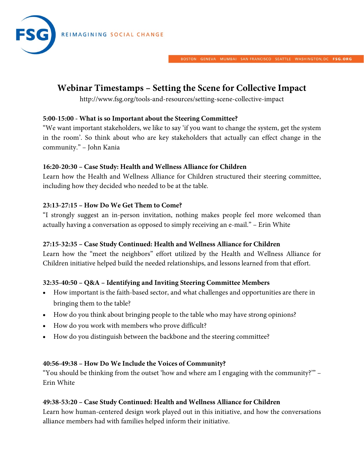

BOSTON GENEVA MUMBAI SANFRANCISCO SEATTLE WASHINGTON, DC FSG.ORG

# **Webinar Timestamps – Setting the Scene for Collective Impact**

http://www.fsg.org/tools-and-resources/setting-scene-collective-impact

## **5:00-15:00 - What is so Important about the Steering Committee?**

"We want important stakeholders, we like to say 'if you want to change the system, get the system in the room'. So think about who are key stakeholders that actually can effect change in the community." – John Kania

## **16:20-20:30 – Case Study: Health and Wellness Alliance for Children**

Learn how the Health and Wellness Alliance for Children structured their steering committee, including how they decided who needed to be at the table.

# **23:13-27:15 – How Do We Get Them to Come?**

"I strongly suggest an in-person invitation, nothing makes people feel more welcomed than actually having a conversation as opposed to simply receiving an e-mail." – Erin White

#### **27:15-32:35 – Case Study Continued: Health and Wellness Alliance for Children**

Learn how the "meet the neighbors" effort utilized by the Health and Wellness Alliance for Children initiative helped build the needed relationships, and lessons learned from that effort.

# **32:35-40:50 – Q&A – Identifying and Inviting Steering Committee Members**

- How important is the faith-based sector, and what challenges and opportunities are there in bringing them to the table?
- How do you think about bringing people to the table who may have strong opinions?
- How do you work with members who prove difficult?
- How do you distinguish between the backbone and the steering committee?

#### **40:56-49:38 – How Do We Include the Voices of Community?**

"You should be thinking from the outset 'how and where am I engaging with the community?'" – Erin White

#### **49:38-53:20 – Case Study Continued: Health and Wellness Alliance for Children**

Learn how human-centered design work played out in this initiative, and how the conversations alliance members had with families helped inform their initiative.